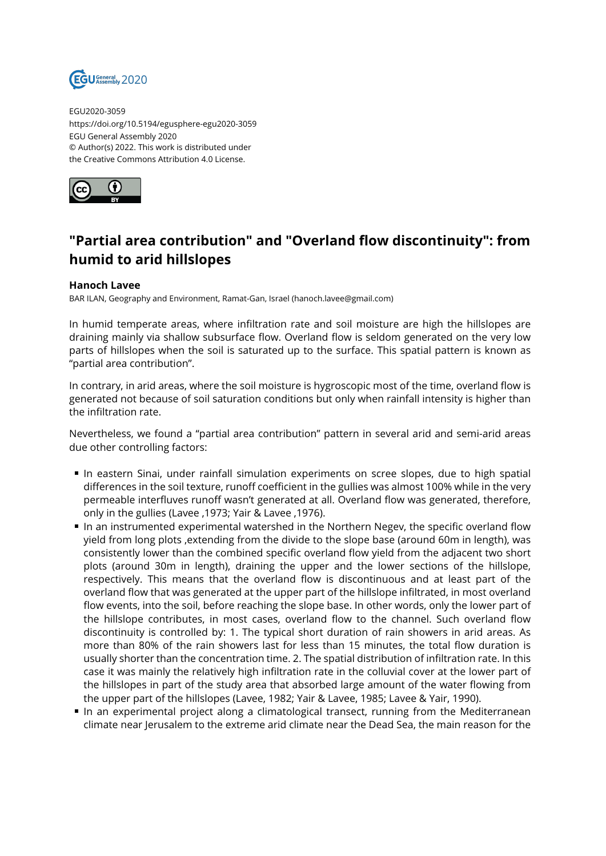

EGU2020-3059 https://doi.org/10.5194/egusphere-egu2020-3059 EGU General Assembly 2020 © Author(s) 2022. This work is distributed under the Creative Commons Attribution 4.0 License.



## **"Partial area contribution" and "Overland flow discontinuity": from humid to arid hillslopes**

## **Hanoch Lavee**

BAR ILAN, Geography and Environment, Ramat-Gan, Israel (hanoch.lavee@gmail.com)

In humid temperate areas, where infiltration rate and soil moisture are high the hillslopes are draining mainly via shallow subsurface flow. Overland flow is seldom generated on the very low parts of hillslopes when the soil is saturated up to the surface. This spatial pattern is known as "partial area contribution".

In contrary, in arid areas, where the soil moisture is hygroscopic most of the time, overland flow is generated not because of soil saturation conditions but only when rainfall intensity is higher than the infiltration rate.

Nevertheless, we found a "partial area contribution" pattern in several arid and semi-arid areas due other controlling factors:

- In eastern Sinai, under rainfall simulation experiments on scree slopes, due to high spatial differences in the soil texture, runoff coefficient in the gullies was almost 100% while in the very permeable interfluves runoff wasn't generated at all. Overland flow was generated, therefore, only in the gullies (Lavee ,1973; Yair & Lavee ,1976).
- In an instrumented experimental watershed in the Northern Negev, the specific overland flow yield from long plots ,extending from the divide to the slope base (around 60m in length), was consistently lower than the combined specific overland flow yield from the adjacent two short plots (around 30m in length), draining the upper and the lower sections of the hillslope, respectively. This means that the overland flow is discontinuous and at least part of the overland flow that was generated at the upper part of the hillslope infiltrated, in most overland flow events, into the soil, before reaching the slope base. In other words, only the lower part of the hillslope contributes, in most cases, overland flow to the channel. Such overland flow discontinuity is controlled by: 1. The typical short duration of rain showers in arid areas. As more than 80% of the rain showers last for less than 15 minutes, the total flow duration is usually shorter than the concentration time. 2. The spatial distribution of infiltration rate. In this case it was mainly the relatively high infiltration rate in the colluvial cover at the lower part of the hillslopes in part of the study area that absorbed large amount of the water flowing from the upper part of the hillslopes (Lavee, 1982; Yair & Lavee, 1985; Lavee & Yair, 1990).
- In an experimental project along a climatological transect, running from the Mediterranean climate near Jerusalem to the extreme arid climate near the Dead Sea, the main reason for the